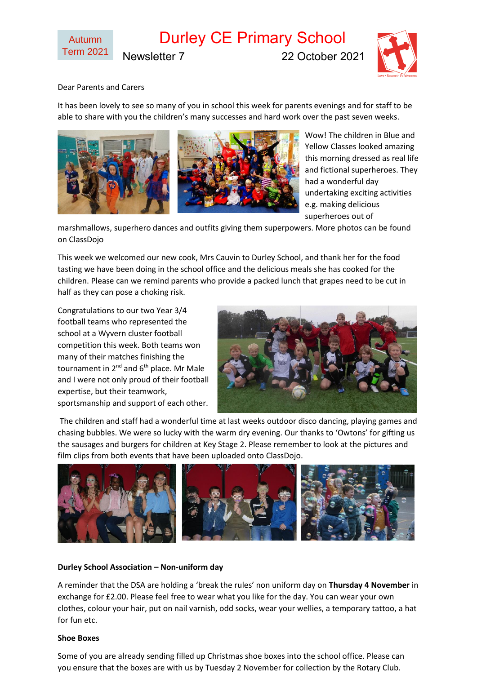# Durley CE Primary School

Newsletter 7 22 October 2021



Dear Parents and Carers

It has been lovely to see so many of you in school this week for parents evenings and for staff to be able to share with you the children's many successes and hard work over the past seven weeks.



Wow! The children in Blue and Yellow Classes looked amazing this morning dressed as real life and fictional superheroes. They had a wonderful day undertaking exciting activities e.g. making delicious superheroes out of

marshmallows, superhero dances and outfits giving them superpowers. More photos can be found on ClassDojo

This week we welcomed our new cook, Mrs Cauvin to Durley School, and thank her for the food tasting we have been doing in the school office and the delicious meals she has cooked for the children. Please can we remind parents who provide a packed lunch that grapes need to be cut in half as they can pose a choking risk.

Congratulations to our two Year 3/4 football teams who represented the school at a Wyvern cluster football competition this week. Both teams won many of their matches finishing the tournament in  $2^{nd}$  and  $6^{th}$  place. Mr Male and I were not only proud of their football expertise, but their teamwork, sportsmanship and support of each other.



The children and staff had a wonderful time at last weeks outdoor disco dancing, playing games and chasing bubbles. We were so lucky with the warm dry evening. Our thanks to 'Owtons' for gifting us the sausages and burgers for children at Key Stage 2. Please remember to look at the pictures and film clips from both events that have been uploaded onto ClassDojo.



### **Durley School Association – Non-uniform day**

A reminder that the DSA are holding a 'break the rules' non uniform day on **Thursday 4 November** in exchange for £2.00. Please feel free to wear what you like for the day. You can wear your own clothes, colour your hair, put on nail varnish, odd socks, wear your wellies, a temporary tattoo, a hat for fun etc.

### **Shoe Boxes**

Some of you are already sending filled up Christmas shoe boxes into the school office. Please can you ensure that the boxes are with us by Tuesday 2 November for collection by the Rotary Club.